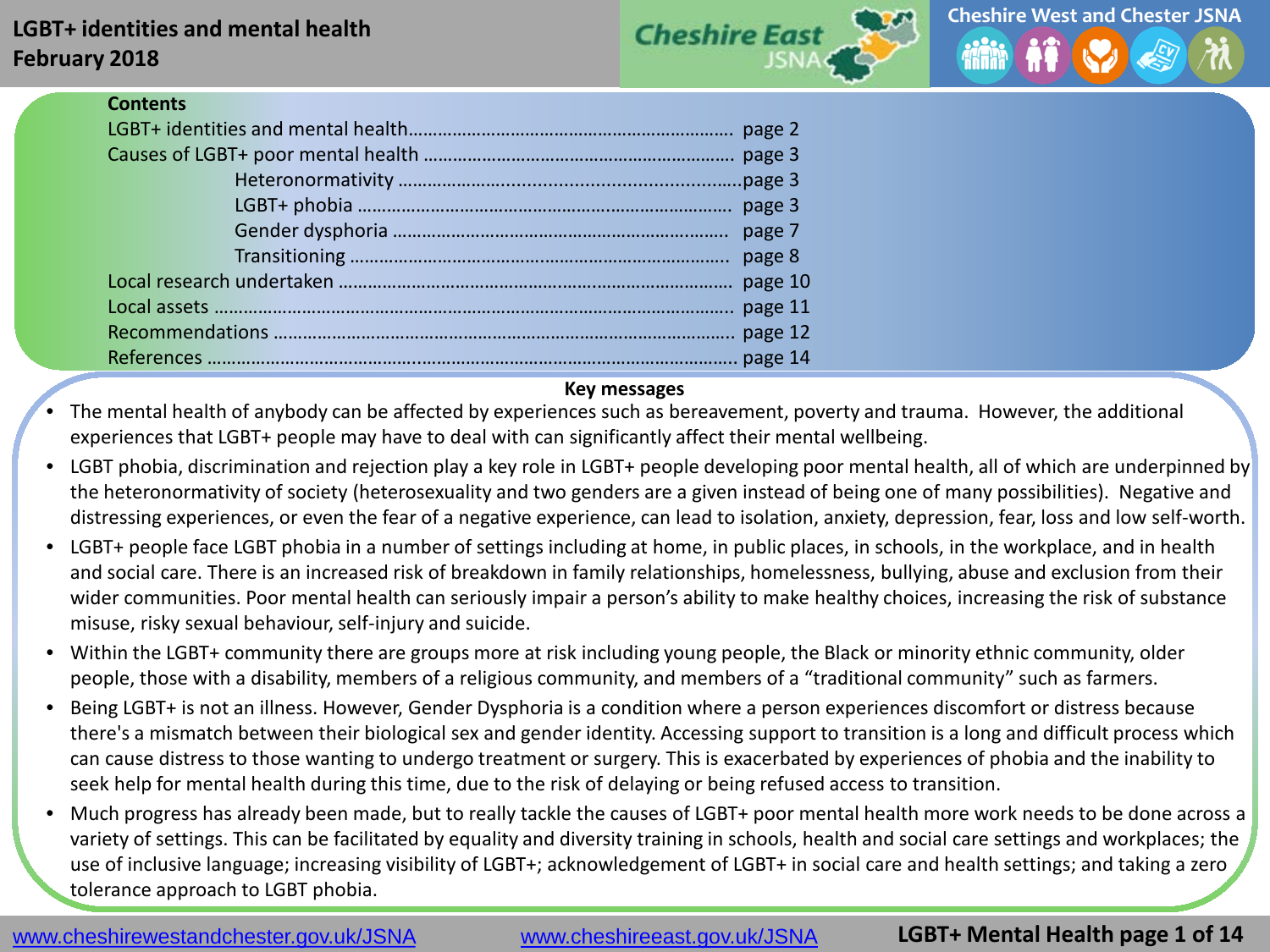## **LGBT+ identities and mental health February 2018**





#### **Contents**

#### **Key messages**

• The mental health of anybody can be affected by experiences such as bereavement, poverty and trauma. However, the additional experiences that LGBT+ people may have to deal with can significantly affect their mental wellbeing.

- LGBT phobia, discrimination and rejection play a key role in LGBT+ people developing poor mental health, all of which are underpinned by the heteronormativity of society (heterosexuality and two genders are a given instead of being one of many possibilities). Negative and distressing experiences, or even the fear of a negative experience, can lead to isolation, anxiety, depression, fear, loss and low self-worth.
- LGBT+ people face LGBT phobia in a number of settings including at home, in public places, in schools, in the workplace, and in health and social care. There is an increased risk of breakdown in family relationships, homelessness, bullying, abuse and exclusion from their wider communities. Poor mental health can seriously impair a person's ability to make healthy choices, increasing the risk of substance misuse, risky sexual behaviour, self-injury and suicide.
- Within the LGBT+ community there are groups more at risk including young people, the Black or minority ethnic community, older people, those with a disability, members of a religious community, and members of a "traditional community" such as farmers.
- Being LGBT+ is not an illness. However, Gender Dysphoria is a condition where a person experiences discomfort or distress because there's a mismatch between their biological sex and gender identity. Accessing support to transition is a long and difficult process which can cause distress to those wanting to undergo treatment or surgery. This is exacerbated by experiences of phobia and the inability to seek help for mental health during this time, due to the risk of delaying or being refused access to transition.
- Much progress has already been made, but to really tackle the causes of LGBT+ poor mental health more work needs to be done across a variety of settings. This can be facilitated by equality and diversity training in schools, health and social care settings and workplaces; the use of inclusive language; increasing visibility of LGBT+; acknowledgement of LGBT+ in social care and health settings; and taking a zero tolerance approach to LGBT phobia.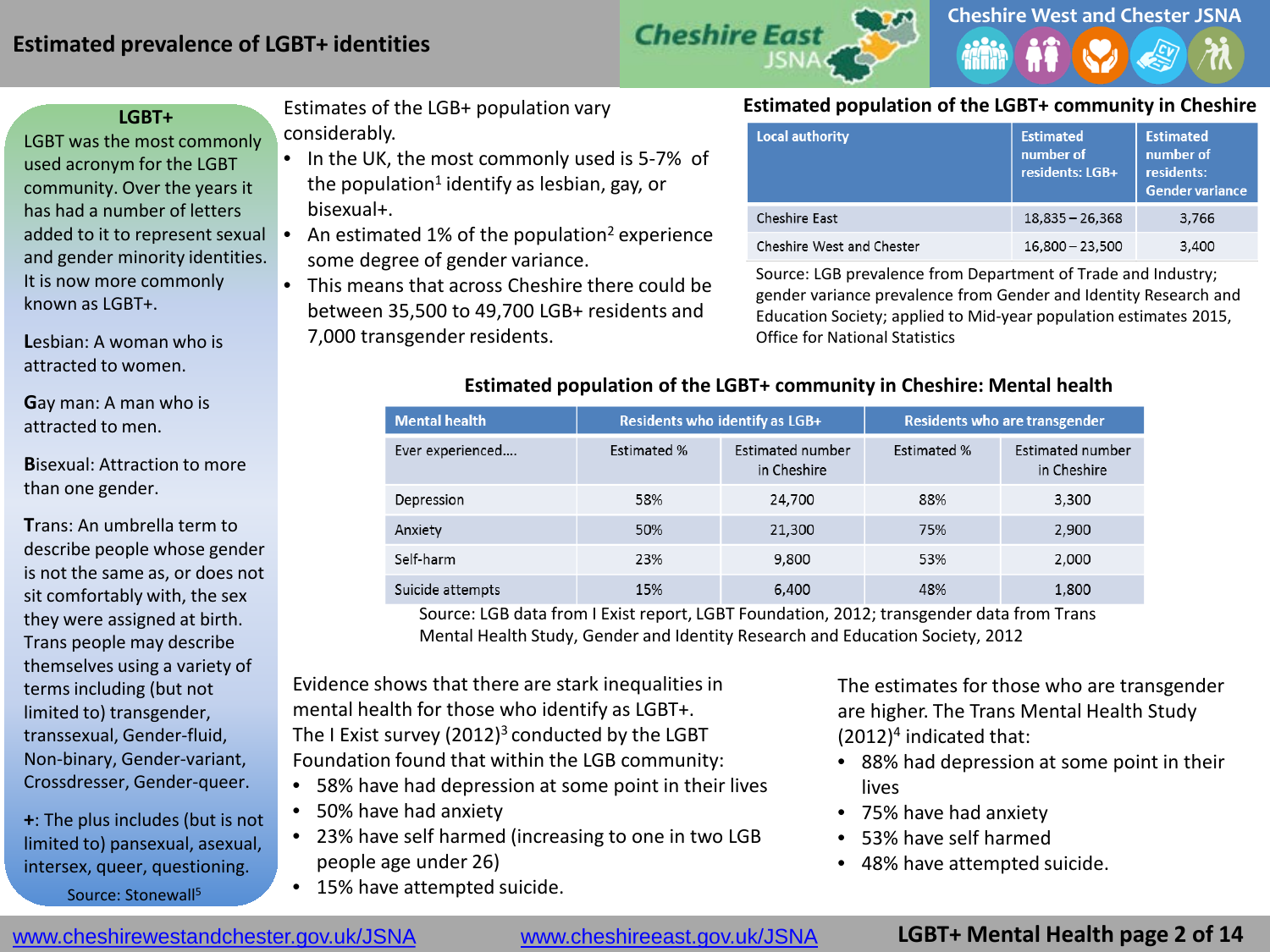### **Estimated prevalence of LGBT+ identities**



#### **LGBT+**

LGBT was the most commonly used acronym for the LGBT community. Over the years it has had a number of letters added to it to represent sexual  $\bullet$ and gender minority identities. It is now more commonly known as LGBT+.

**L**esbian: A woman who is attracted to women.

**G**ay man: A man who is attracted to men.

**B**isexual: Attraction to more than one gender.

**T**rans: An umbrella term to describe people whose gender is not the same as, or does not sit comfortably with, the sex they were assigned at birth. Trans people may describe themselves using a variety of terms including (but not limited to) transgender, transsexual, Gender-fluid, Non-binary, Gender-variant, Crossdresser, Gender-queer.

**+**: The plus includes (but is not limited to) pansexual, asexual, intersex, queer, questioning. Source: Stonewall<sup>5</sup>

Estimates of the LGB+ population vary considerably.

- In the UK, the most commonly used is 5-7% of the population<sup>1</sup> identify as lesbian, gay, or bisexual+.
- An estimated 1% of the population<sup>2</sup> experience some degree of gender variance.
- This means that across Cheshire there could be between 35,500 to 49,700 LGB+ residents and 7,000 transgender residents.

#### **Estimated population of the LGBT+ community in Cheshire**

| <b>Local authority</b>    | <b>Estimated</b><br>number of<br>residents: LGB+ | <b>Estimated</b><br>number of<br>residents:<br><b>Gender variance</b> |
|---------------------------|--------------------------------------------------|-----------------------------------------------------------------------|
| Cheshire East             | $18,835 - 26,368$                                | 3,766                                                                 |
| Cheshire West and Chester | $16,800 - 23,500$                                | 3,400                                                                 |

Source: LGB prevalence from Department of Trade and Industry; gender variance prevalence from Gender and Identity Research and Education Society; applied to Mid-year population estimates 2015, Office for National Statistics

| <b>Mental health</b> | Residents who identify as LGB+ |                                 |                    | Residents who are transgender   |
|----------------------|--------------------------------|---------------------------------|--------------------|---------------------------------|
| Ever experienced     | <b>Estimated %</b>             | Estimated number<br>in Cheshire | <b>Estimated %</b> | Estimated number<br>in Cheshire |
| Depression           | 58%                            | 24,700                          | 88%                | 3,300                           |
| Anxiety              | 50%                            | 21,300                          | 75%                | 2,900                           |
| Self-harm            | 23%                            | 9,800                           | 53%                | 2,000                           |
| Suicide attempts     | 15%                            | 6,400                           | 48%                | 1,800                           |

#### **Estimated population of the LGBT+ community in Cheshire: Mental health**

Source: LGB data from I Exist report, LGBT Foundation, 2012; transgender data from Trans Mental Health Study, Gender and Identity Research and Education Society, 2012

Evidence shows that there are stark inequalities in mental health for those who identify as LGBT+. The I Exist survey  $(2012)^3$  conducted by the LGBT Foundation found that within the LGB community:

- 58% have had depression at some point in their lives
- 50% have had anxiety
- 23% have self harmed (increasing to one in two LGB people age under 26)
- 15% have attempted suicide.

The estimates for those who are transgender are higher. The Trans Mental Health Study  $(2012)^4$  indicated that:

- 88% had depression at some point in their lives
- 75% have had anxiety
- 53% have self harmed
- 48% have attempted suicide.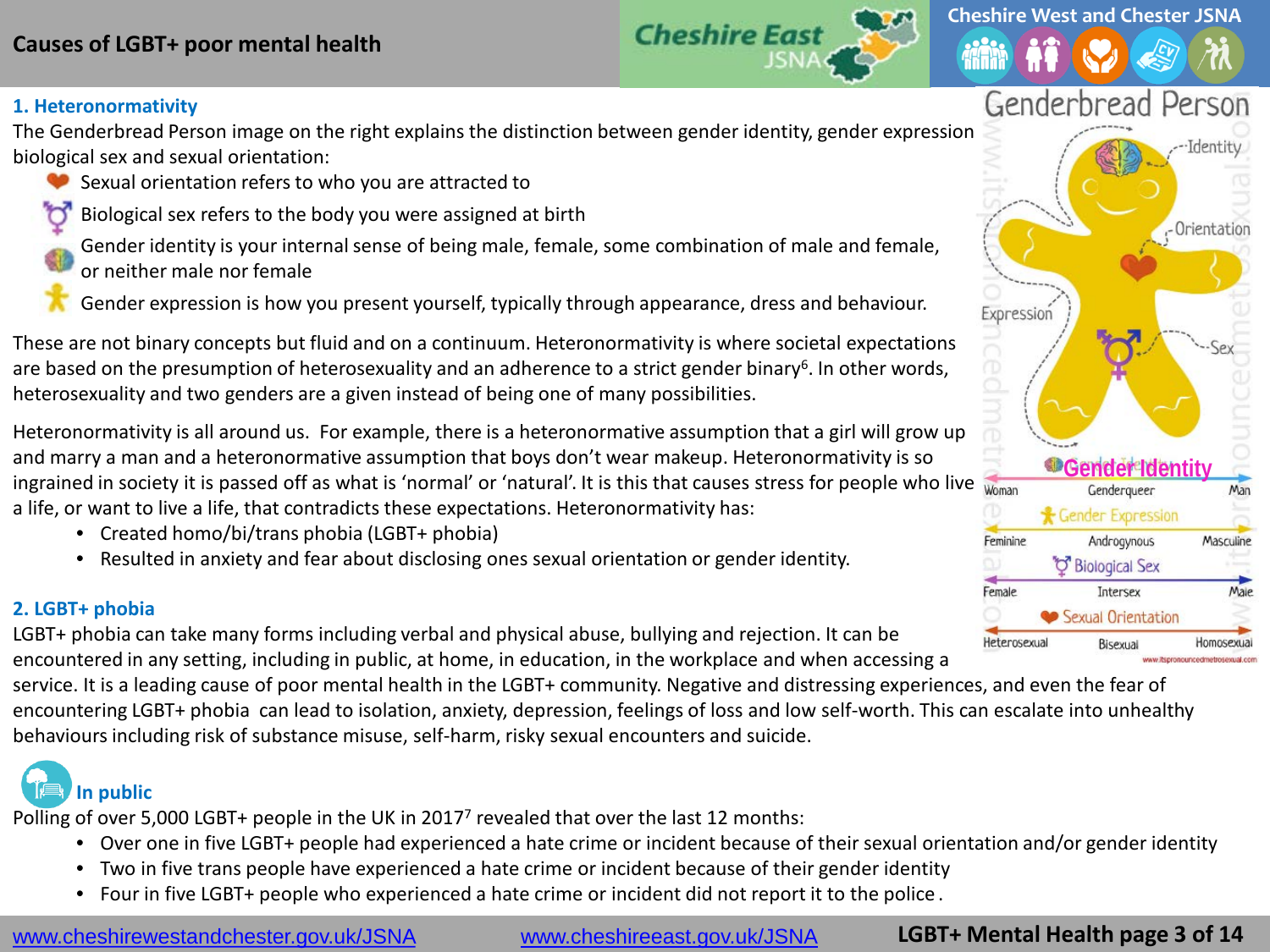## **Causes of LGBT+ poor mental health**



#### **1. Heteronormativity**

The Genderbread Person image on the right explains the distinction between gender identity, gender expression, biological sex and sexual orientation:

- Sexual orientation refers to who you are attracted to
- Biological sex refers to the body you were assigned at birth
- Gender identity is your internal sense of being male, female, some combination of male and female, or neither male nor female
- Gender expression is how you present yourself, typically through appearance, dress and behaviour.

These are not binary concepts but fluid and on a continuum. Heteronormativity is where societal expectations are based on the presumption of heterosexuality and an adherence to a strict gender binary<sup>6</sup>. In other words, heterosexuality and two genders are a given instead of being one of many possibilities.

Heteronormativity is all around us. For example, there is a heteronormative assumption that a girl will grow up and marry a man and a heteronormative assumption that boys don't wear makeup. Heteronormativity is so ingrained in society it is passed off as what is 'normal' or 'natural'. It is this that causes stress for people who live woman a life, or want to live a life, that contradicts these expectations. Heteronormativity has:

- Created homo/bi/trans phobia (LGBT+ phobia)
- Resulted in anxiety and fear about disclosing ones sexual orientation or gender identity.

#### **2. LGBT+ phobia**

LGBT+ phobia can take many forms including verbal and physical abuse, bullying and rejection. It can be encountered in any setting, including in public, at home, in education, in the workplace and when accessing a

service. It is a leading cause of poor mental health in the LGBT+ community. Negative and distressing experiences, and even the fear of encountering LGBT+ phobia can lead to isolation, anxiety, depression, feelings of loss and low self-worth. This can escalate into unhealthy behaviours including risk of substance misuse, self-harm, risky sexual encounters and suicide.

# **In public**

Polling of over 5,000 LGBT+ people in the UK in 2017<sup>7</sup> revealed that over the last 12 months:

- Over one in five LGBT+ people had experienced a hate crime or incident because of their sexual orientation and/or gender identity
- Two in five trans people have experienced a hate crime or incident because of their gender identity
- Four in five LGBT+ people who experienced a hate crime or incident did not report it to the police .

**LGBT+ Mental Health page 3 of 14**



**Cheshire West and Chester JSNA**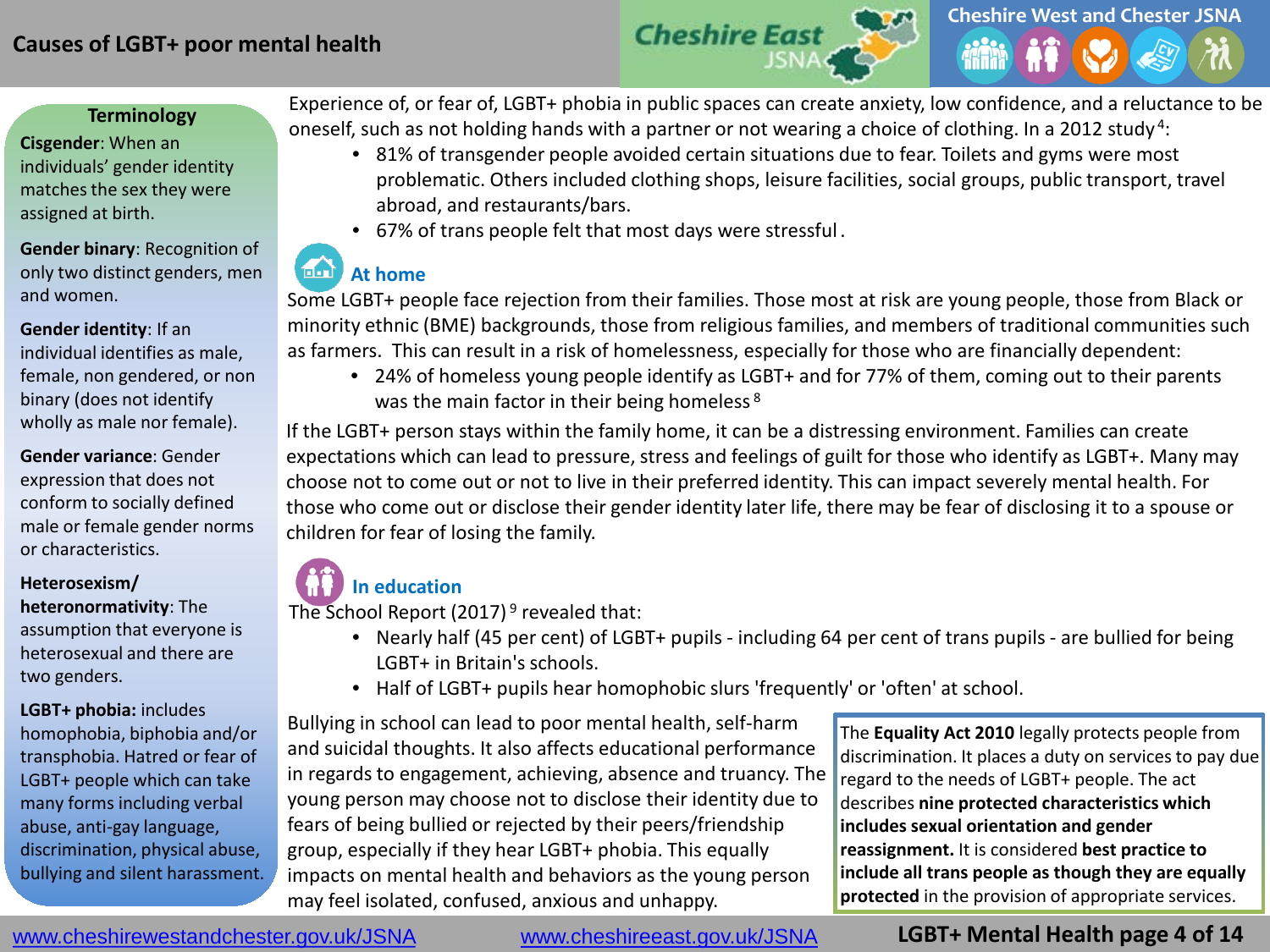### **Causes of LGBT+ poor mental health**



#### **Terminology**

**Cisgender**: When an individuals' gender identity matches the sex they were assigned at birth.

**Gender binary**: Recognition of only two distinct genders, men and women.

**Gender identity**: If an individual identifies as male, female, non gendered, or non binary (does not identify wholly as male nor female).

**Gender variance**: Gender expression that does not conform to socially defined male or female gender norms or characteristics.

#### **Heterosexism/**

**heteronormativity**: The assumption that everyone is heterosexual and there are two genders.

**LGBT+ phobia:** includes homophobia, biphobia and/or transphobia. Hatred or fear of LGBT+ people which can take many forms including verbal abuse, anti-gay language, discrimination, physical abuse, bullying and silent harassment.

Experience of, or fear of, LGBT+ phobia in public spaces can create anxiety, low confidence, and a reluctance to be oneself, such as not holding hands with a partner or not wearing a choice of clothing. In a 2012 study 4:

- 81% of transgender people avoided certain situations due to fear. Toilets and gyms were most problematic. Others included clothing shops, leisure facilities, social groups, public transport, travel abroad, and restaurants/bars.
- 67% of trans people felt that most days were stressful .

#### 面面 **At home**

Some LGBT+ people face rejection from their families. Those most at risk are young people, those from Black or minority ethnic (BME) backgrounds, those from religious families, and members of traditional communities such as farmers. This can result in a risk of homelessness, especially for those who are financially dependent:

• 24% of homeless young people identify as LGBT+ and for 77% of them, coming out to their parents was the main factor in their being homeless<sup>8</sup>

If the LGBT+ person stays within the family home, it can be a distressing environment. Families can create expectations which can lead to pressure, stress and feelings of guilt for those who identify as LGBT+. Many may choose not to come out or not to live in their preferred identity. This can impact severely mental health. For those who come out or disclose their gender identity later life, there may be fear of disclosing it to a spouse or children for fear of losing the family.

## **In education**

The School Report (2017)<sup>9</sup> revealed that:

- Nearly half (45 per cent) of LGBT+ pupils including 64 per cent of trans pupils are bullied for being LGBT+ in Britain's schools.
- Half of LGBT+ pupils hear homophobic slurs 'frequently' or 'often' at school.

Bullying in school can lead to poor mental health, self-harm and suicidal thoughts. It also affects educational performance in regards to engagement, achieving, absence and truancy. The young person may choose not to disclose their identity due to fears of being bullied or rejected by their peers/friendship group, especially if they hear LGBT+ phobia. This equally impacts on mental health and behaviors as the young person may feel isolated, confused, anxious and unhappy.

The **Equality Act 2010** legally protects people from discrimination. It places a duty on services to pay due regard to the needs of LGBT+ people. The act describes **nine protected characteristics which includes sexual orientation and gender reassignment.** It is considered **best practice to include all trans people as though they are equally protected** in the provision of appropriate services.

www.cheshirewestandchester.gov.uk/JSNA [www.cheshireeast.gov.uk/JSNA](http://www.cheshireeast.gov.uk/JSNA)

## **LGBT+ Mental Health page 4 of 14**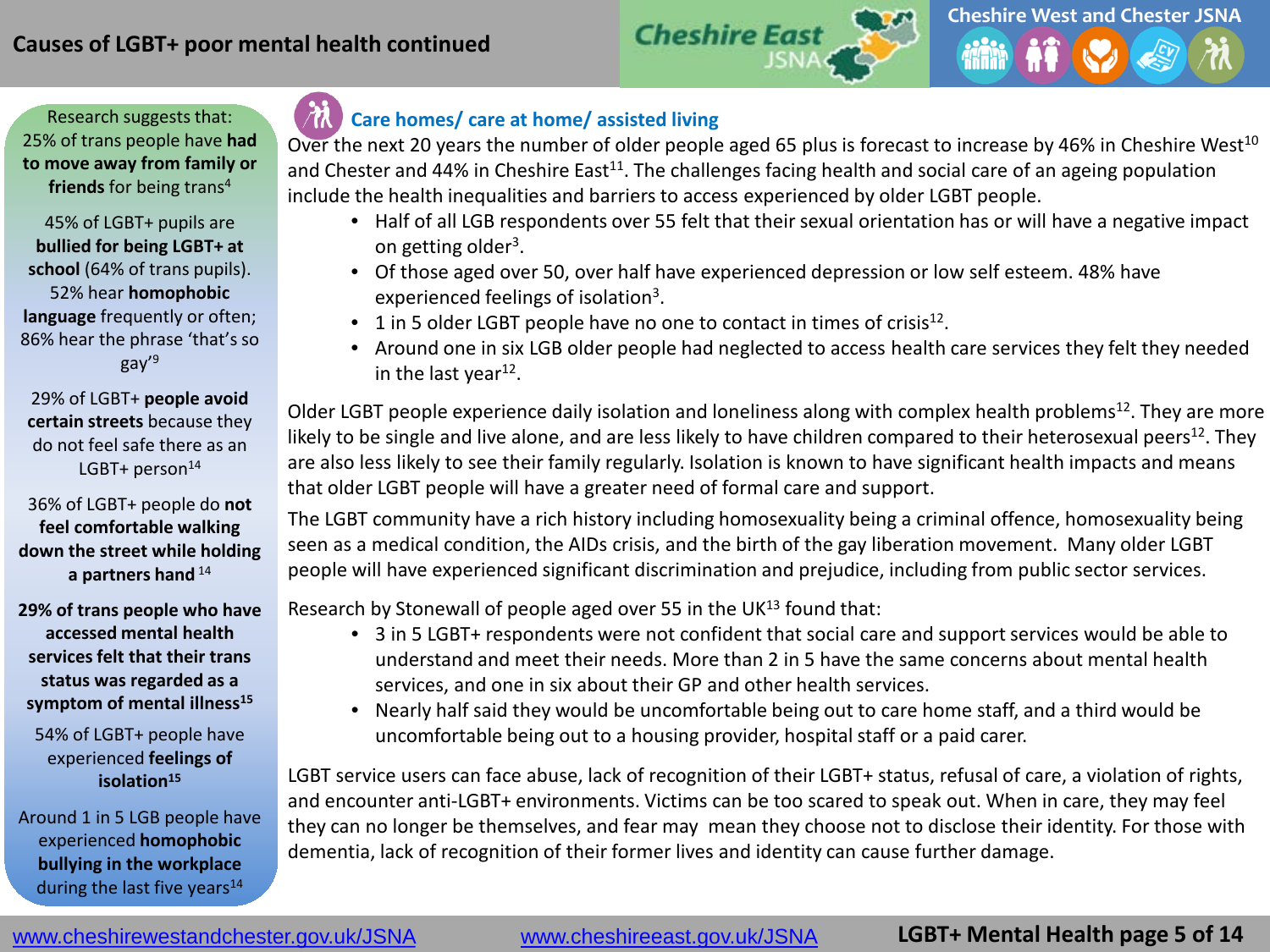



45% of LGBT+ pupils are **bullied for being LGBT+ at school** (64% of trans pupils). 52% hear **homophobic language** frequently or often; 86% hear the phrase 'that's so gay'9

29% of LGBT+ **people avoid certain streets** because they do not feel safe there as an LGBT+ person $14$ 

36% of LGBT+ people do **not feel comfortable walking down the street while holding a partners hand** <sup>14</sup>

**29% of trans people who have accessed mental health services felt that their trans status was regarded as a**  symptom of mental illness<sup>15</sup>

54% of LGBT+ people have experienced **feelings of isolation15**

Around 1 in 5 LGB people have experienced **homophobic bullying in the workplace**  during the last five years $14$ 

## **Care homes/ care at home/ assisted living**

Over the next 20 years the number of older people aged 65 plus is forecast to increase by 46% in Cheshire West<sup>10</sup> and Chester and 44% in Cheshire East<sup>11</sup>. The challenges facing health and social care of an ageing population include the health inequalities and barriers to access experienced by older LGBT people.

- Half of all LGB respondents over 55 felt that their sexual orientation has or will have a negative impact on getting older<sup>3</sup>.
- Of those aged over 50, over half have experienced depression or low self esteem. 48% have experienced feelings of isolation<sup>3</sup>.
- 1 in 5 older LGBT people have no one to contact in times of crisis<sup>12</sup>.
- Around one in six LGB older people had neglected to access health care services they felt they needed in the last year $^{12}$ .

Older LGBT people experience daily isolation and loneliness along with complex health problems<sup>12</sup>. They are more likely to be single and live alone, and are less likely to have children compared to their heterosexual peers<sup>12</sup>. They are also less likely to see their family regularly. Isolation is known to have significant health impacts and means that older LGBT people will have a greater need of formal care and support.

The LGBT community have a rich history including homosexuality being a criminal offence, homosexuality being seen as a medical condition, the AIDs crisis, and the birth of the gay liberation movement. Many older LGBT people will have experienced significant discrimination and prejudice, including from public sector services.

Research by Stonewall of people aged over 55 in the UK $^{13}$  found that:

- 3 in 5 LGBT+ respondents were not confident that social care and support services would be able to understand and meet their needs. More than 2 in 5 have the same concerns about mental health services, and one in six about their GP and other health services.
- Nearly half said they would be uncomfortable being out to care home staff, and a third would be uncomfortable being out to a housing provider, hospital staff or a paid carer.

LGBT service users can face abuse, lack of recognition of their LGBT+ status, refusal of care, a violation of rights, and encounter anti-LGBT+ environments. Victims can be too scared to speak out. When in care, they may feel they can no longer be themselves, and fear may mean they choose not to disclose their identity. For those with dementia, lack of recognition of their former lives and identity can cause further damage.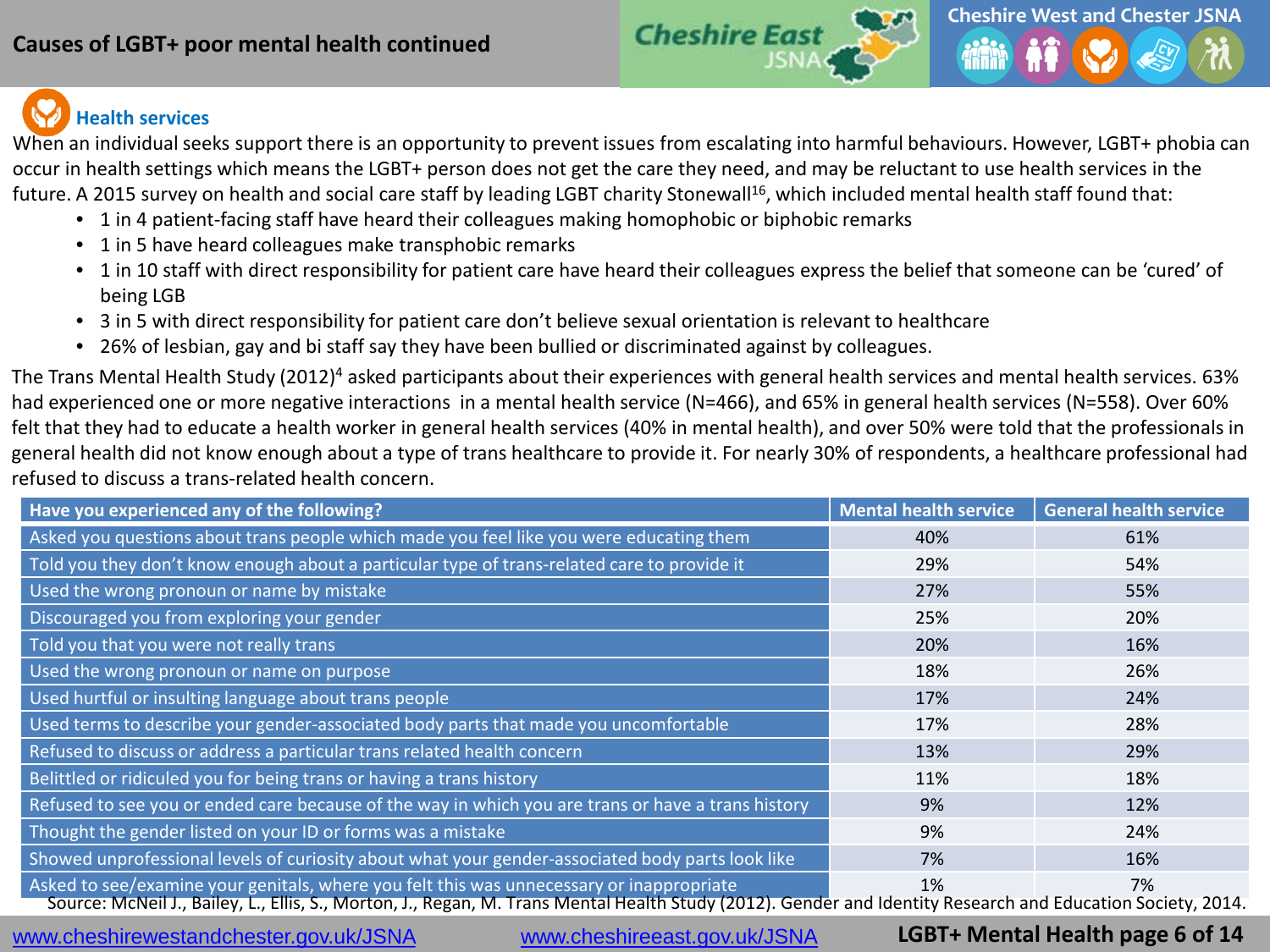

# **Health services**

When an individual seeks support there is an opportunity to prevent issues from escalating into harmful behaviours. However, LGBT+ phobia can occur in health settings which means the LGBT+ person does not get the care they need, and may be reluctant to use health services in the future. A 2015 survey on health and social care staff by leading LGBT charity Stonewall<sup>16</sup>, which included mental health staff found that:

- 1 in 4 patient-facing staff have heard their colleagues making homophobic or biphobic remarks
- 1 in 5 have heard colleagues make transphobic remarks
- 1 in 10 staff with direct responsibility for patient care have heard their colleagues express the belief that someone can be 'cured' of being LGB
- 3 in 5 with direct responsibility for patient care don't believe sexual orientation is relevant to healthcare
- 26% of lesbian, gay and bi staff say they have been bullied or discriminated against by colleagues.

The Trans Mental Health Study (2012)4 asked participants about their experiences with general health services and mental health services. 63% had experienced one or more negative interactions in a mental health service (N=466), and 65% in general health services (N=558). Over 60% felt that they had to educate a health worker in general health services (40% in mental health), and over 50% were told that the professionals in general health did not know enough about a type of trans healthcare to provide it. For nearly 30% of respondents, a healthcare professional had refused to discuss a trans-related health concern.

| Have you experienced any of the following?                                                                                                                                                                                                              | Mental health service | <b>General health service</b> |
|---------------------------------------------------------------------------------------------------------------------------------------------------------------------------------------------------------------------------------------------------------|-----------------------|-------------------------------|
| Asked you questions about trans people which made you feel like you were educating them                                                                                                                                                                 | 40%                   | 61%                           |
| Told you they don't know enough about a particular type of trans-related care to provide it                                                                                                                                                             | 29%                   | 54%                           |
| Used the wrong pronoun or name by mistake                                                                                                                                                                                                               | 27%                   | 55%                           |
| Discouraged you from exploring your gender                                                                                                                                                                                                              | 25%                   | 20%                           |
| Told you that you were not really trans                                                                                                                                                                                                                 | 20%                   | 16%                           |
| Used the wrong pronoun or name on purpose                                                                                                                                                                                                               | 18%                   | 26%                           |
| Used hurtful or insulting language about trans people                                                                                                                                                                                                   | 17%                   | 24%                           |
| Used terms to describe your gender-associated body parts that made you uncomfortable                                                                                                                                                                    | 17%                   | 28%                           |
| Refused to discuss or address a particular trans related health concern                                                                                                                                                                                 | 13%                   | 29%                           |
| Belittled or ridiculed you for being trans or having a trans history                                                                                                                                                                                    | 11%                   | 18%                           |
| Refused to see you or ended care because of the way in which you are trans or have a trans history                                                                                                                                                      | 9%                    | 12%                           |
| Thought the gender listed on your ID or forms was a mistake                                                                                                                                                                                             | 9%                    | 24%                           |
| Showed unprofessional levels of curiosity about what your gender-associated body parts look like                                                                                                                                                        | 7%                    | 16%                           |
| Asked to see/examine your genitals, where you felt this was unnecessary or inappropriate<br>Source: McNeil J., Bailey, L., Ellis, S., Morton, J., Regan, M. Trans Mental Health Study (2012). Gender and Identity Research and Education Society, 2014. | 1%                    | 7%                            |

www.cheshirewestandchester.gov.uk/JSNA [www.cheshireeast.gov.uk/JSNA](http://www.cheshireeast.gov.uk/JSNA)

## **LGBT+ Mental Health page 6 of 14**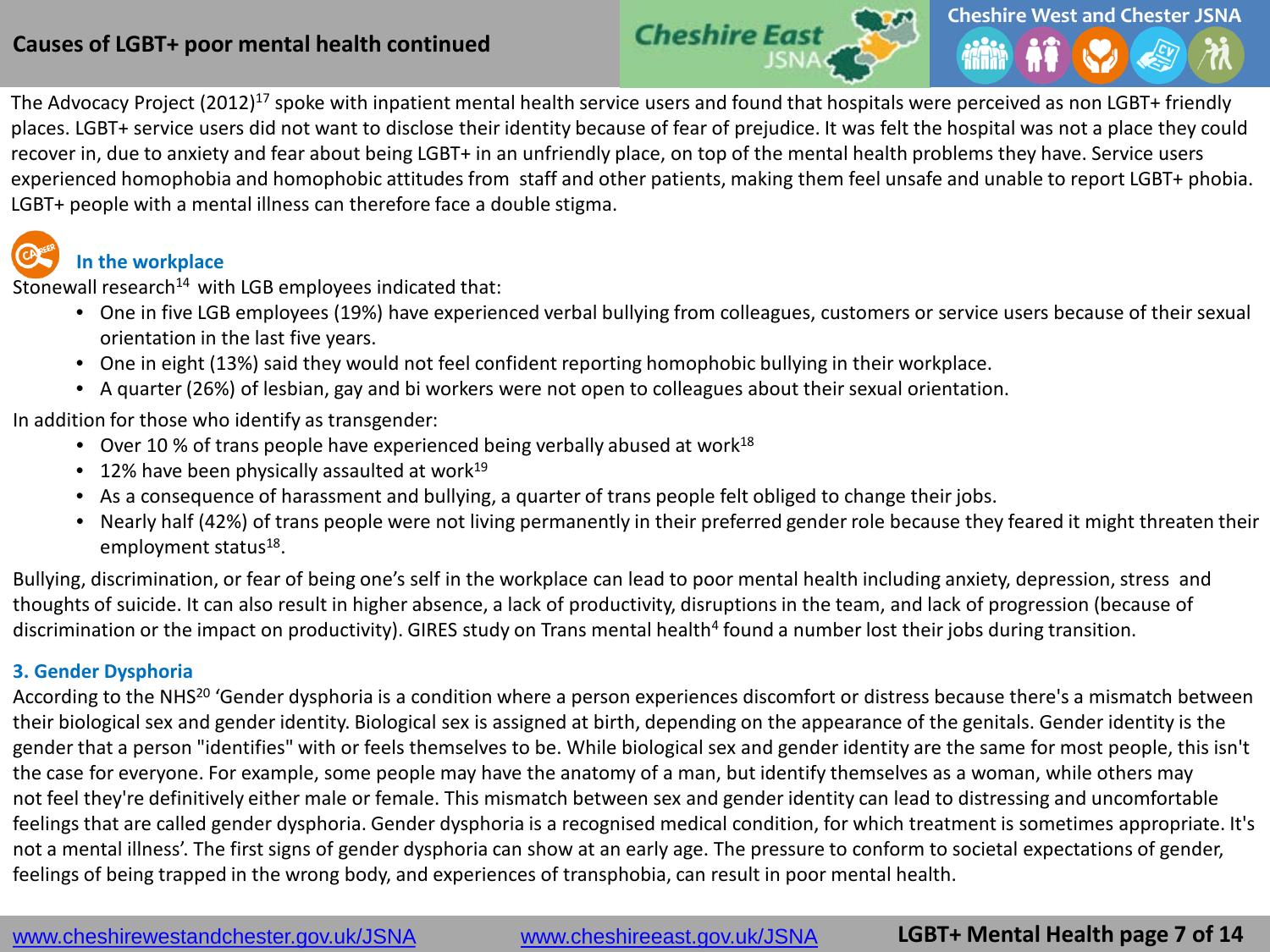

The Advocacy Project (2012)<sup>17</sup> spoke with inpatient mental health service users and found that hospitals were perceived as non LGBT+ friendly places. LGBT+ service users did not want to disclose their identity because of fear of prejudice. It was felt the hospital was not a place they could recover in, due to anxiety and fear about being LGBT+ in an unfriendly place, on top of the mental health problems they have. Service users experienced homophobia and homophobic attitudes from staff and other patients, making them feel unsafe and unable to report LGBT+ phobia. LGBT+ people with a mental illness can therefore face a double stigma.

## **In the workplace**

Stonewall research $14$  with LGB employees indicated that:

- One in five LGB employees (19%) have experienced verbal bullying from colleagues, customers or service users because of their sexual orientation in the last five years.
- One in eight (13%) said they would not feel confident reporting homophobic bullying in their workplace.
- A quarter (26%) of lesbian, gay and bi workers were not open to colleagues about their sexual orientation.

In addition for those who identify as transgender:

- Over 10 % of trans people have experienced being verbally abused at work<sup>18</sup>
- $\bullet$  12% have been physically assaulted at work<sup>19</sup>
- As a consequence of harassment and bullying, a quarter of trans people felt obliged to change their jobs.
- Nearly half (42%) of trans people were not living permanently in their preferred gender role because they feared it might threaten their employment status<sup>18</sup>.

Bullying, discrimination, or fear of being one's self in the workplace can lead to poor mental health including anxiety, depression, stress and thoughts of suicide. It can also result in higher absence, a lack of productivity, disruptions in the team, and lack of progression (because of discrimination or the impact on productivity). GIRES study on Trans mental health<sup>4</sup> found a number lost their jobs during transition.

### **3. Gender Dysphoria**

According to the NHS<sup>20</sup> 'Gender dysphoria is a condition where a person experiences discomfort or distress because there's a mismatch between their biological sex and gender identity. Biological sex is assigned at birth, depending on the appearance of the genitals. Gender identity is the gender that a person "identifies" with or feels themselves to be. While biological sex and gender identity are the same for most people, this isn't the case for everyone. For example, some people may have the anatomy of a man, but identify themselves as a woman, while others may not feel they're definitively either male or female. This mismatch between sex and gender identity can lead to distressing and uncomfortable feelings that are called gender dysphoria. Gender dysphoria is a recognised medical condition, for which treatment is sometimes appropriate. It's not a mental illness'. The first signs of gender dysphoria can show at an early age. The pressure to conform to societal expectations of gender, feelings of being trapped in the wrong body, and experiences of transphobia, can result in poor mental health.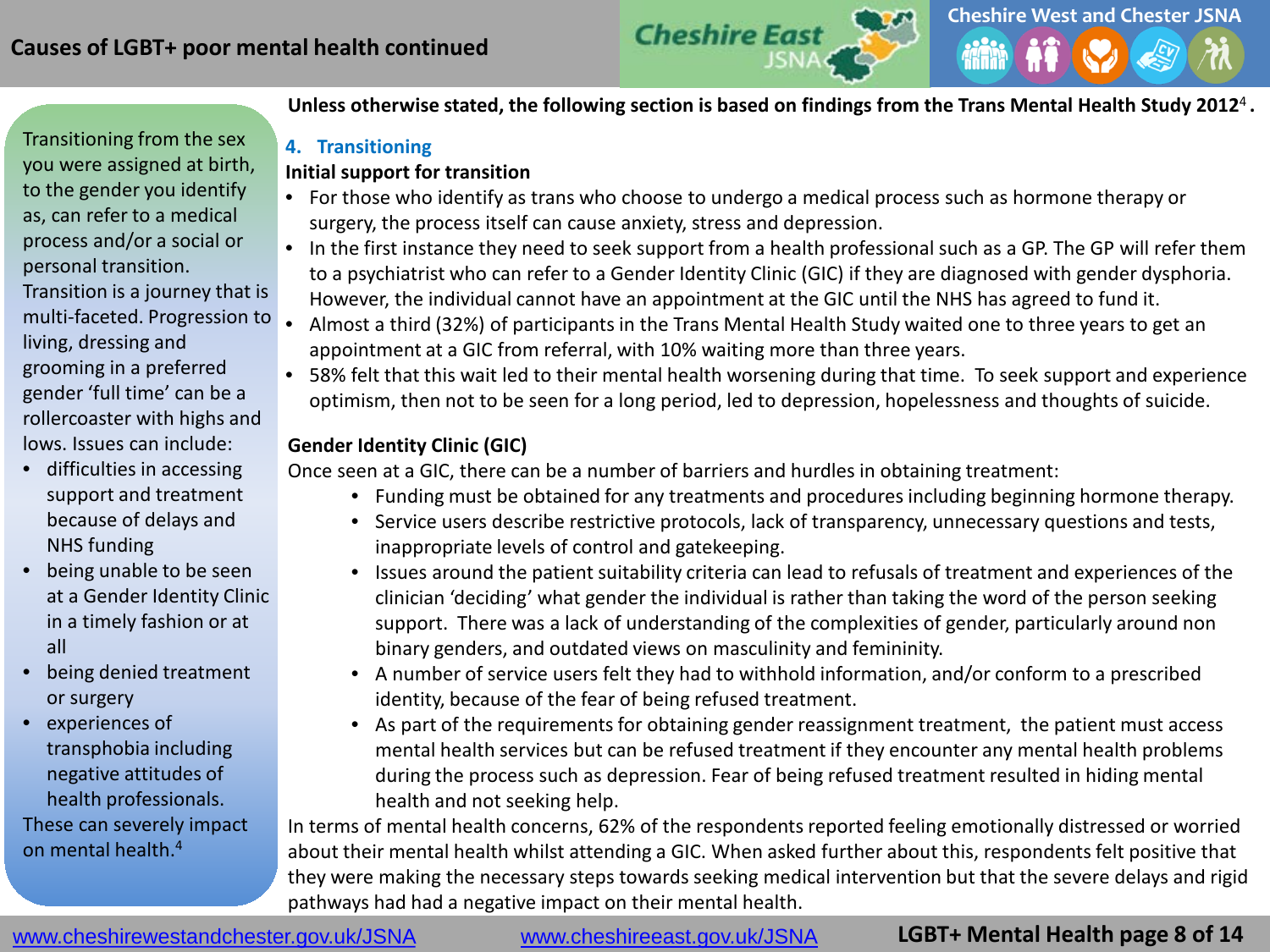**Cheshire West and Chester JSNA Cheshire East** 

Transitioning from the sex you were assigned at birth, to the gender you identify as, can refer to a medical process and/or a social or personal transition.

Transition is a journey that is multi-faceted. Progression to living, dressing and grooming in a preferred gender 'full time' can be a rollercoaster with highs and lows. Issues can include:

- difficulties in accessing support and treatment because of delays and NHS funding
- being unable to be seen at a Gender Identity Clinic in a timely fashion or at all
- being denied treatment or surgery
- experiences of transphobia including negative attitudes of health professionals.

These can severely impact on mental health.4

**Unless otherwise stated, the following section is based on findings from the Trans Mental Health Study 2012**<sup>4</sup>**.**

## **4. Transitioning**

### **Initial support for transition**

- For those who identify as trans who choose to undergo a medical process such as hormone therapy or surgery, the process itself can cause anxiety, stress and depression.
- In the first instance they need to seek support from a health professional such as a GP. The GP will refer them to a psychiatrist who can refer to a Gender Identity Clinic (GIC) if they are diagnosed with gender dysphoria. However, the individual cannot have an appointment at the GIC until the NHS has agreed to fund it.
- Almost a third (32%) of participants in the Trans Mental Health Study waited one to three years to get an appointment at a GIC from referral, with 10% waiting more than three years.
- 58% felt that this wait led to their mental health worsening during that time. To seek support and experience optimism, then not to be seen for a long period, led to depression, hopelessness and thoughts of suicide.

## **Gender Identity Clinic (GIC)**

Once seen at a GIC, there can be a number of barriers and hurdles in obtaining treatment:

- Funding must be obtained for any treatments and procedures including beginning hormone therapy.
- Service users describe restrictive protocols, lack of transparency, unnecessary questions and tests, inappropriate levels of control and gatekeeping.
- Issues around the patient suitability criteria can lead to refusals of treatment and experiences of the clinician 'deciding' what gender the individual is rather than taking the word of the person seeking support. There was a lack of understanding of the complexities of gender, particularly around non binary genders, and outdated views on masculinity and femininity.
- A number of service users felt they had to withhold information, and/or conform to a prescribed identity, because of the fear of being refused treatment.
- As part of the requirements for obtaining gender reassignment treatment, the patient must access mental health services but can be refused treatment if they encounter any mental health problems during the process such as depression. Fear of being refused treatment resulted in hiding mental health and not seeking help.

In terms of mental health concerns, 62% of the respondents reported feeling emotionally distressed or worried about their mental health whilst attending a GIC. When asked further about this, respondents felt positive that they were making the necessary steps towards seeking medical intervention but that the severe delays and rigid pathways had had a negative impact on their mental health.

www.cheshirewestandchester.gov.uk/JSNA [www.cheshireeast.gov.uk/JSNA](http://www.cheshireeast.gov.uk/JSNA)

**LGBT+ Mental Health page 8 of 14**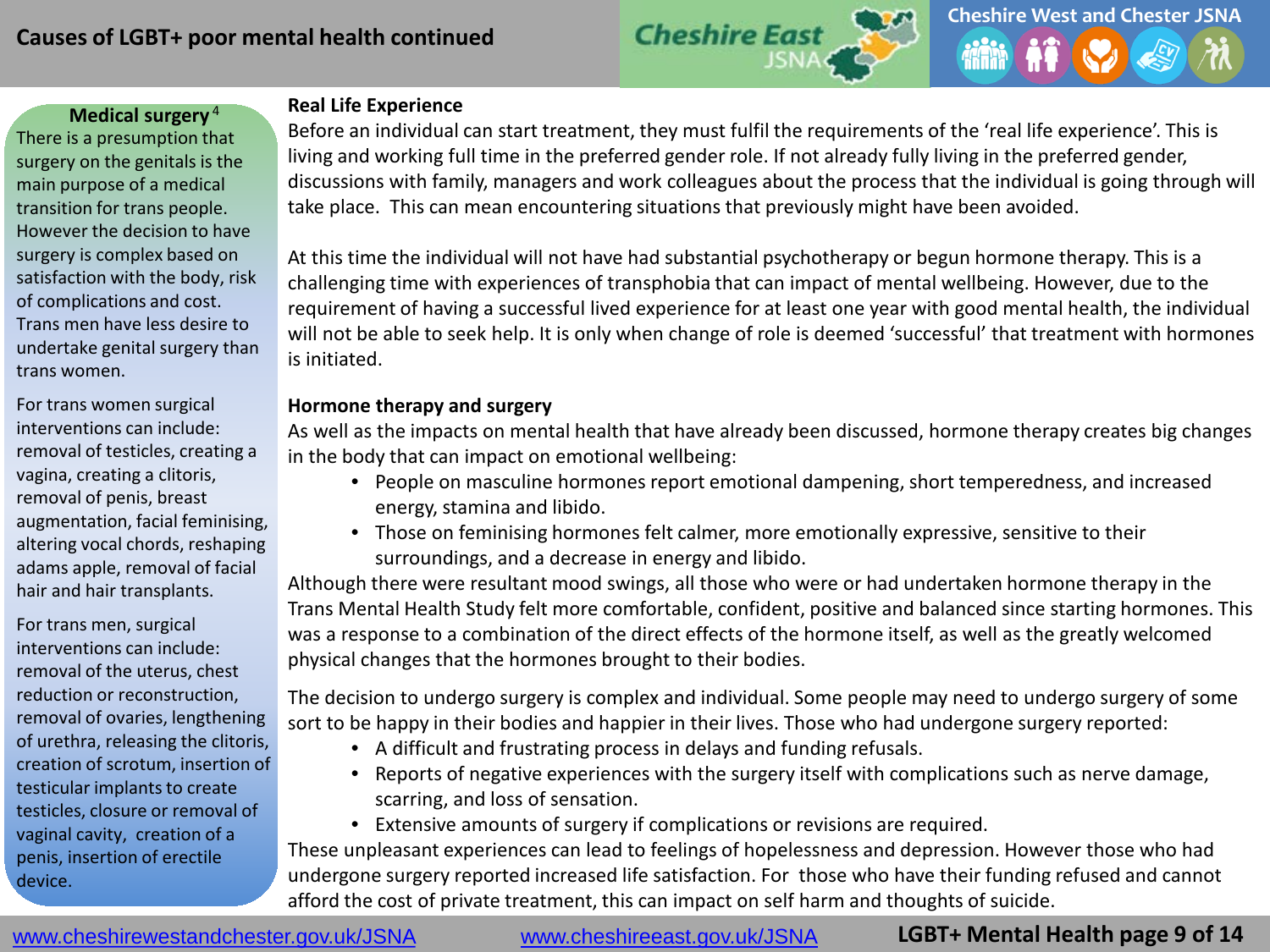

There is a presumption that surgery on the genitals is the main purpose of a medical transition for trans people. However the decision to have surgery is complex based on satisfaction with the body, risk of complications and cost. Trans men have less desire to undertake genital surgery than trans women.

For trans women surgical interventions can include: removal of testicles, creating a vagina, creating a clitoris, removal of penis, breast augmentation, facial feminising, altering vocal chords, reshaping adams apple, removal of facial hair and hair transplants.

For trans men, surgical interventions can include: removal of the uterus, chest reduction or reconstruction, removal of ovaries, lengthening of urethra, releasing the clitoris, creation of scrotum, insertion of testicular implants to create testicles, closure or removal of vaginal cavity, creation of a penis, insertion of erectile device.

## **Medical surgery**<sup>4</sup> **Real Life Experience**

Before an individual can start treatment, they must fulfil the requirements of the 'real life experience'. This is living and working full time in the preferred gender role. If not already fully living in the preferred gender, discussions with family, managers and work colleagues about the process that the individual is going through will take place. This can mean encountering situations that previously might have been avoided.

At this time the individual will not have had substantial psychotherapy or begun hormone therapy. This is a challenging time with experiences of transphobia that can impact of mental wellbeing. However, due to the requirement of having a successful lived experience for at least one year with good mental health, the individual will not be able to seek help. It is only when change of role is deemed 'successful' that treatment with hormones is initiated.

#### **Hormone therapy and surgery**

As well as the impacts on mental health that have already been discussed, hormone therapy creates big changes in the body that can impact on emotional wellbeing:

- People on masculine hormones report emotional dampening, short temperedness, and increased energy, stamina and libido.
- Those on feminising hormones felt calmer, more emotionally expressive, sensitive to their surroundings, and a decrease in energy and libido.

Although there were resultant mood swings, all those who were or had undertaken hormone therapy in the Trans Mental Health Study felt more comfortable, confident, positive and balanced since starting hormones. This was a response to a combination of the direct effects of the hormone itself, as well as the greatly welcomed physical changes that the hormones brought to their bodies.

The decision to undergo surgery is complex and individual. Some people may need to undergo surgery of some sort to be happy in their bodies and happier in their lives. Those who had undergone surgery reported:

- A difficult and frustrating process in delays and funding refusals.
- Reports of negative experiences with the surgery itself with complications such as nerve damage, scarring, and loss of sensation.
- Extensive amounts of surgery if complications or revisions are required.

These unpleasant experiences can lead to feelings of hopelessness and depression. However those who had undergone surgery reported increased life satisfaction. For those who have their funding refused and cannot afford the cost of private treatment, this can impact on self harm and thoughts of suicide.

**LGBT+ Mental Health page 9 of 14**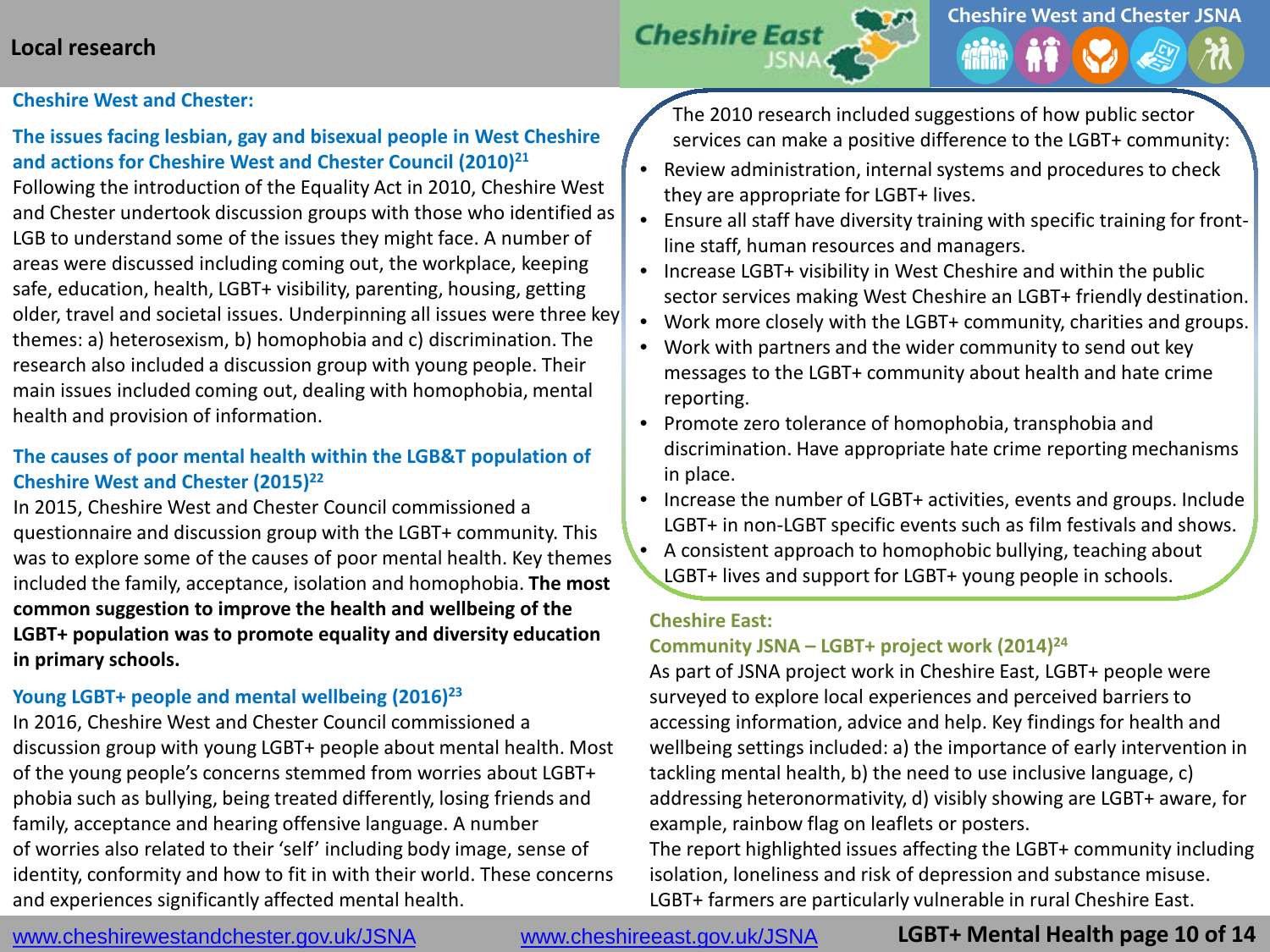## **Local research**

# **Cheshire West and Chester JSNA Cheshire Eas**

#### **Cheshire West and Chester:**

### **The issues facing lesbian, gay and bisexual people in West Cheshire and actions for Cheshire West and Chester Council (2010)21**

Following the introduction of the Equality Act in 2010, Cheshire West and Chester undertook discussion groups with those who identified as LGB to understand some of the issues they might face. A number of areas were discussed including coming out, the workplace, keeping safe, education, health, LGBT+ visibility, parenting, housing, getting older, travel and societal issues. Underpinning all issues were three key themes: a) heterosexism, b) homophobia and c) discrimination. The research also included a discussion group with young people. Their main issues included coming out, dealing with homophobia, mental health and provision of information.

### **The causes of poor mental health within the LGB&T population of Cheshire West and Chester (2015)22**

In 2015, Cheshire West and Chester Council commissioned a questionnaire and discussion group with the LGBT+ community. This was to explore some of the causes of poor mental health. Key themes included the family, acceptance, isolation and homophobia. **The most common suggestion to improve the health and wellbeing of the LGBT+ population was to promote equality and diversity education in primary schools.**

#### **Young LGBT+ people and mental wellbeing (2016)23**

In 2016, Cheshire West and Chester Council commissioned a discussion group with young LGBT+ people about mental health. Most of the young people's concerns stemmed from worries about LGBT+ phobia such as bullying, being treated differently, losing friends and family, acceptance and hearing offensive language. A number of worries also related to their 'self' including body image, sense of identity, conformity and how to fit in with their world. These concerns and experiences significantly affected mental health.

The 2010 research included suggestions of how public sector services can make a positive difference to the LGBT+ community:

- Review administration, internal systems and procedures to check they are appropriate for LGBT+ lives.
- Ensure all staff have diversity training with specific training for frontline staff, human resources and managers.
- Increase LGBT+ visibility in West Cheshire and within the public sector services making West Cheshire an LGBT+ friendly destination.
- Work more closely with the LGBT+ community, charities and groups.
- Work with partners and the wider community to send out key messages to the LGBT+ community about health and hate crime reporting.
- Promote zero tolerance of homophobia, transphobia and discrimination. Have appropriate hate crime reporting mechanisms in place.
- Increase the number of LGBT+ activities, events and groups. Include LGBT+ in non-LGBT specific events such as film festivals and shows.
- A consistent approach to homophobic bullying, teaching about LGBT+ lives and support for LGBT+ young people in schools.

#### **Cheshire East:**

#### **Community JSNA – LGBT+ project work (2014)24**

As part of JSNA project work in Cheshire East, LGBT+ people were surveyed to explore local experiences and perceived barriers to accessing information, advice and help. Key findings for health and wellbeing settings included: a) the importance of early intervention in tackling mental health, b) the need to use inclusive language, c) addressing heteronormativity, d) visibly showing are LGBT+ aware, for example, rainbow flag on leaflets or posters.

The report highlighted issues affecting the LGBT+ community including isolation, loneliness and risk of depression and substance misuse. LGBT+ farmers are particularly vulnerable in rural Cheshire East.

www.cheshirewestandchester.gov.uk/JSNA [www.cheshireeast.gov.uk/JSNA](http://www.cheshireeast.gov.uk/JSNA)

**LGBT+ Mental Health page 10 of 14**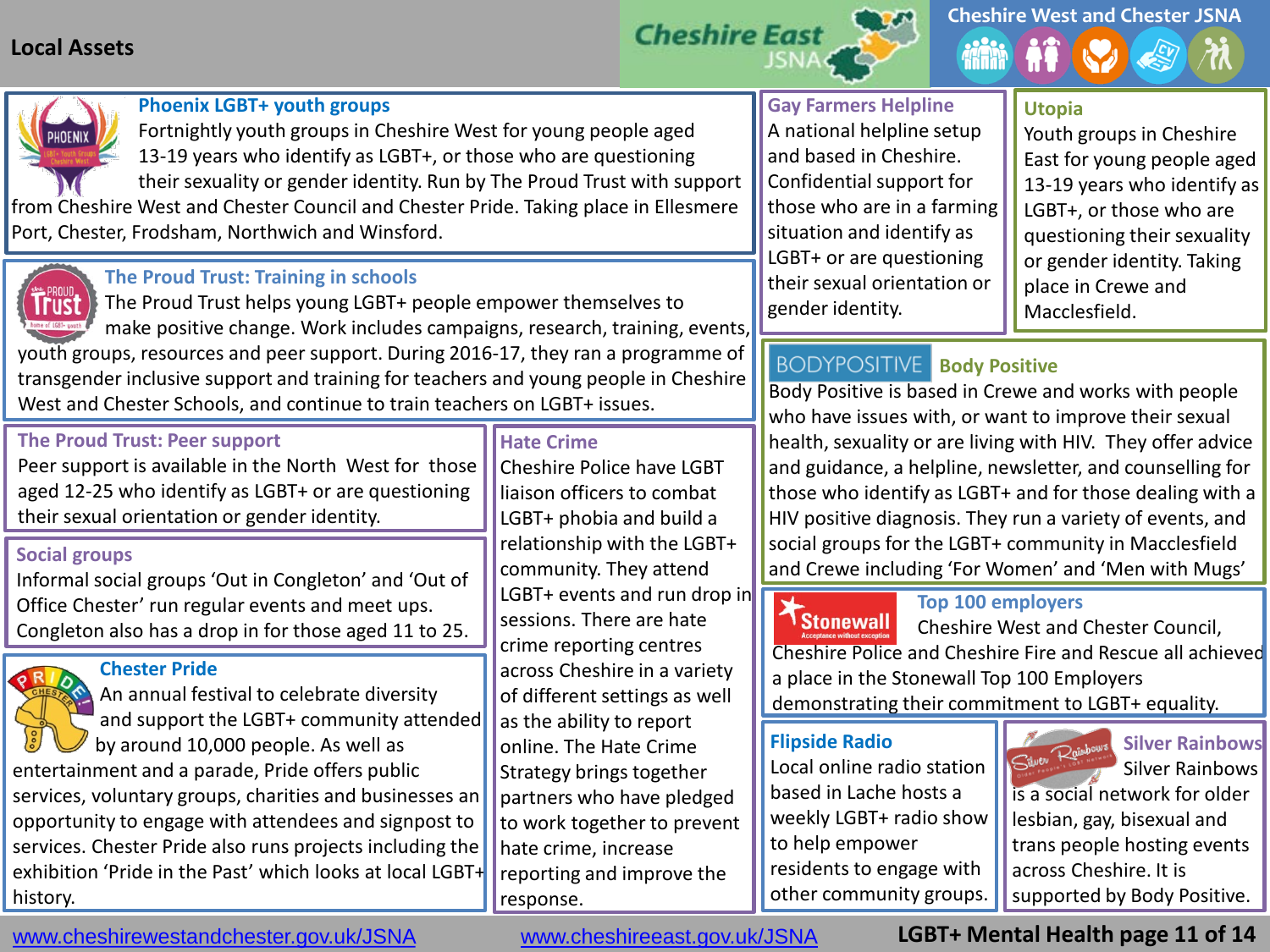## **Local Assets**







#### **Phoenix LGBT+ youth groups**

Fortnightly youth groups in Cheshire West for young people aged 13-19 years who identify as LGBT+, or those who are questioning their sexuality or gender identity. Run by The Proud Trust with support

from Cheshire West and Chester Council and Chester Pride. Taking place in Ellesmere Port, Chester, Frodsham, Northwich and Winsford.

### **The Proud Trust: Training in schools**

 The Proud Trust helps young LGBT+ people empower themselves to make positive change. Work includes campaigns, research, training, events, youth groups, resources and peer support. During 2016-17, they ran a programme of transgender inclusive support and training for teachers and young people in Cheshire West and Chester Schools, and continue to train teachers on LGBT+ issues.

#### **The Proud Trust: Peer support**

Peer support is available in the North West for those aged 12-25 who identify as LGBT+ or are questioning their sexual orientation or gender identity.

#### **Social groups**

Informal social groups 'Out in Congleton' and 'Out of Office Chester' run regular events and meet ups. Congleton also has a drop in for those aged 11 to 25.

#### **Chester Pride**

 An annual festival to celebrate diversity and support the LGBT+ community attended by around 10,000 people. As well as entertainment and a parade, Pride offers public services, voluntary groups, charities and businesses an opportunity to engage with attendees and signpost to services. Chester Pride also runs projects including the exhibition 'Pride in the Past' which looks at local LGBT+ history.

### **Hate Crime**

Cheshire Police have LGBT liaison officers to combat LGBT+ phobia and build a relationship with the LGBT+ community. They attend LGBT+ events and run drop in sessions. There are hate crime reporting centres across Cheshire in a variety of different settings as well as the ability to report online. The Hate Crime Strategy brings together partners who have pledged to work together to prevent hate crime, increase reporting and improve the response.

## **Gay Farmers Helpline**

A national helpline setup and based in Cheshire. Confidential support for those who are in a farming situation and identify as LGBT+ or are questioning their sexual orientation or gender identity.

### **Utopia**

Youth groups in Cheshire East for young people aged 13-19 years who identify as LGBT+, or those who are questioning their sexuality or gender identity. Taking place in Crewe and Macclesfield.

## **Body Positive**

Body Positive is based in Crewe and works with people who have issues with, or want to improve their sexual health, sexuality or are living with HIV. They offer advice and guidance, a helpline, newsletter, and counselling for those who identify as LGBT+ and for those dealing with a HIV positive diagnosis. They run a variety of events, and social groups for the LGBT+ community in Macclesfield and Crewe including 'For Women' and 'Men with Mugs'

**Top 100 employers**<br> **Stonewall** Cheshire West and Cheshire West and Chester Council, Cheshire Police and Cheshire Fire and Rescue all achieved a place in the Stonewall Top 100 Employers demonstrating their commitment to LGBT+ equality.

### **Flipside Radio**

Local online radio station based in Lache hosts a weekly LGBT+ radio show to help empower residents to engage with other community groups.



Silver Rainbows Silver Rainbows

is a social network for older lesbian, gay, bisexual and trans people hosting events across Cheshire. It is supported by Body Positive.

www.cheshirewestandchester.gov.uk/JSNA [www.cheshireeast.gov.uk/JSNA](http://www.cheshireeast.gov.uk/JSNA)

**LGBT+ Mental Health page 11 of 14**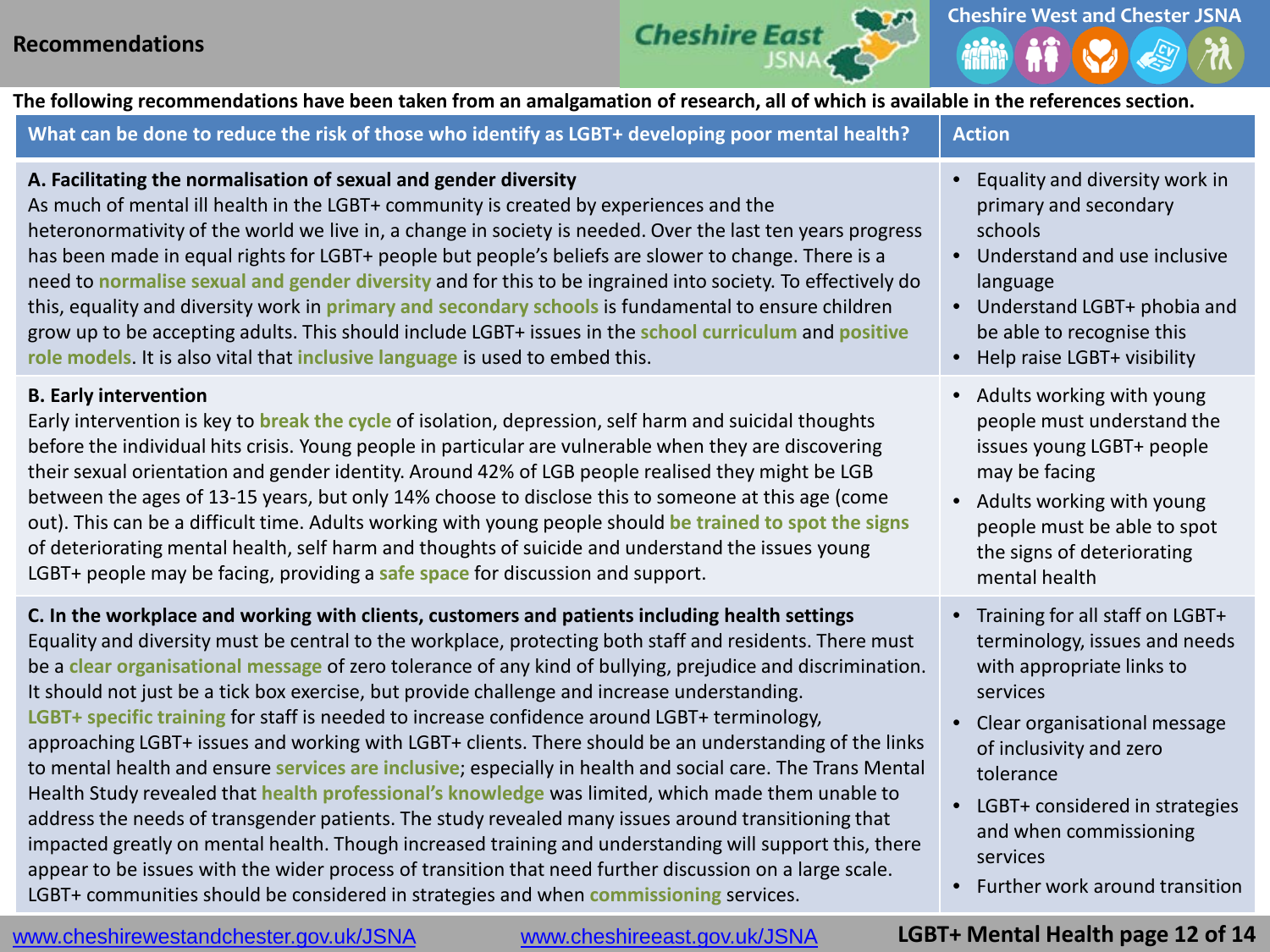

**The following recommendations have been taken from an amalgamation of research, all of which is available in the references section.**

| What can be done to reduce the risk of those who identify as LGBT+ developing poor mental health?                                                                                                                                                                                                                                                                                                                                                                                                                                                                                                                                                                                                                                                                                                                                                                                                                                                                                                                                                                                                                                                                                                                                                                           | <b>Action</b>                                                                                                                                                                                                                                                                                   |
|-----------------------------------------------------------------------------------------------------------------------------------------------------------------------------------------------------------------------------------------------------------------------------------------------------------------------------------------------------------------------------------------------------------------------------------------------------------------------------------------------------------------------------------------------------------------------------------------------------------------------------------------------------------------------------------------------------------------------------------------------------------------------------------------------------------------------------------------------------------------------------------------------------------------------------------------------------------------------------------------------------------------------------------------------------------------------------------------------------------------------------------------------------------------------------------------------------------------------------------------------------------------------------|-------------------------------------------------------------------------------------------------------------------------------------------------------------------------------------------------------------------------------------------------------------------------------------------------|
| A. Facilitating the normalisation of sexual and gender diversity                                                                                                                                                                                                                                                                                                                                                                                                                                                                                                                                                                                                                                                                                                                                                                                                                                                                                                                                                                                                                                                                                                                                                                                                            | • Equality and diversity work in                                                                                                                                                                                                                                                                |
| As much of mental ill health in the LGBT+ community is created by experiences and the                                                                                                                                                                                                                                                                                                                                                                                                                                                                                                                                                                                                                                                                                                                                                                                                                                                                                                                                                                                                                                                                                                                                                                                       | primary and secondary                                                                                                                                                                                                                                                                           |
| heteronormativity of the world we live in, a change in society is needed. Over the last ten years progress                                                                                                                                                                                                                                                                                                                                                                                                                                                                                                                                                                                                                                                                                                                                                                                                                                                                                                                                                                                                                                                                                                                                                                  | schools                                                                                                                                                                                                                                                                                         |
| has been made in equal rights for LGBT+ people but people's beliefs are slower to change. There is a                                                                                                                                                                                                                                                                                                                                                                                                                                                                                                                                                                                                                                                                                                                                                                                                                                                                                                                                                                                                                                                                                                                                                                        | • Understand and use inclusive                                                                                                                                                                                                                                                                  |
| need to normalise sexual and gender diversity and for this to be ingrained into society. To effectively do                                                                                                                                                                                                                                                                                                                                                                                                                                                                                                                                                                                                                                                                                                                                                                                                                                                                                                                                                                                                                                                                                                                                                                  | language                                                                                                                                                                                                                                                                                        |
| this, equality and diversity work in primary and secondary schools is fundamental to ensure children                                                                                                                                                                                                                                                                                                                                                                                                                                                                                                                                                                                                                                                                                                                                                                                                                                                                                                                                                                                                                                                                                                                                                                        | • Understand LGBT+ phobia and                                                                                                                                                                                                                                                                   |
| grow up to be accepting adults. This should include LGBT+ issues in the school curriculum and positive                                                                                                                                                                                                                                                                                                                                                                                                                                                                                                                                                                                                                                                                                                                                                                                                                                                                                                                                                                                                                                                                                                                                                                      | be able to recognise this                                                                                                                                                                                                                                                                       |
| role models. It is also vital that inclusive language is used to embed this.                                                                                                                                                                                                                                                                                                                                                                                                                                                                                                                                                                                                                                                                                                                                                                                                                                                                                                                                                                                                                                                                                                                                                                                                | • Help raise LGBT+ visibility                                                                                                                                                                                                                                                                   |
| <b>B. Early intervention</b>                                                                                                                                                                                                                                                                                                                                                                                                                                                                                                                                                                                                                                                                                                                                                                                                                                                                                                                                                                                                                                                                                                                                                                                                                                                | • Adults working with young                                                                                                                                                                                                                                                                     |
| Early intervention is key to break the cycle of isolation, depression, self harm and suicidal thoughts                                                                                                                                                                                                                                                                                                                                                                                                                                                                                                                                                                                                                                                                                                                                                                                                                                                                                                                                                                                                                                                                                                                                                                      | people must understand the                                                                                                                                                                                                                                                                      |
| before the individual hits crisis. Young people in particular are vulnerable when they are discovering                                                                                                                                                                                                                                                                                                                                                                                                                                                                                                                                                                                                                                                                                                                                                                                                                                                                                                                                                                                                                                                                                                                                                                      | issues young LGBT+ people                                                                                                                                                                                                                                                                       |
| their sexual orientation and gender identity. Around 42% of LGB people realised they might be LGB                                                                                                                                                                                                                                                                                                                                                                                                                                                                                                                                                                                                                                                                                                                                                                                                                                                                                                                                                                                                                                                                                                                                                                           | may be facing                                                                                                                                                                                                                                                                                   |
| between the ages of 13-15 years, but only 14% choose to disclose this to someone at this age (come                                                                                                                                                                                                                                                                                                                                                                                                                                                                                                                                                                                                                                                                                                                                                                                                                                                                                                                                                                                                                                                                                                                                                                          | • Adults working with young                                                                                                                                                                                                                                                                     |
| out). This can be a difficult time. Adults working with young people should be trained to spot the signs                                                                                                                                                                                                                                                                                                                                                                                                                                                                                                                                                                                                                                                                                                                                                                                                                                                                                                                                                                                                                                                                                                                                                                    | people must be able to spot                                                                                                                                                                                                                                                                     |
| of deteriorating mental health, self harm and thoughts of suicide and understand the issues young                                                                                                                                                                                                                                                                                                                                                                                                                                                                                                                                                                                                                                                                                                                                                                                                                                                                                                                                                                                                                                                                                                                                                                           | the signs of deteriorating                                                                                                                                                                                                                                                                      |
| LGBT+ people may be facing, providing a safe space for discussion and support.                                                                                                                                                                                                                                                                                                                                                                                                                                                                                                                                                                                                                                                                                                                                                                                                                                                                                                                                                                                                                                                                                                                                                                                              | mental health                                                                                                                                                                                                                                                                                   |
| C. In the workplace and working with clients, customers and patients including health settings<br>Equality and diversity must be central to the workplace, protecting both staff and residents. There must<br>be a clear organisational message of zero tolerance of any kind of bullying, prejudice and discrimination.<br>It should not just be a tick box exercise, but provide challenge and increase understanding.<br>LGBT+ specific training for staff is needed to increase confidence around LGBT+ terminology,<br>approaching LGBT+ issues and working with LGBT+ clients. There should be an understanding of the links<br>to mental health and ensure services are inclusive; especially in health and social care. The Trans Mental<br>Health Study revealed that health professional's knowledge was limited, which made them unable to<br>address the needs of transgender patients. The study revealed many issues around transitioning that<br>impacted greatly on mental health. Though increased training and understanding will support this, there<br>appear to be issues with the wider process of transition that need further discussion on a large scale.<br>LGBT+ communities should be considered in strategies and when commissioning services. | • Training for all staff on LGBT+<br>terminology, issues and needs<br>with appropriate links to<br>services<br>Clear organisational message<br>of inclusivity and zero<br>tolerance<br>LGBT+ considered in strategies<br>and when commissioning<br>services<br>• Further work around transition |

www.cheshirewestandchester.gov.uk/JSNA [www.cheshireeast.gov.uk/JSNA](http://www.cheshireeast.gov.uk/JSNA)

**LGBT+ Mental Health page 12 of 14**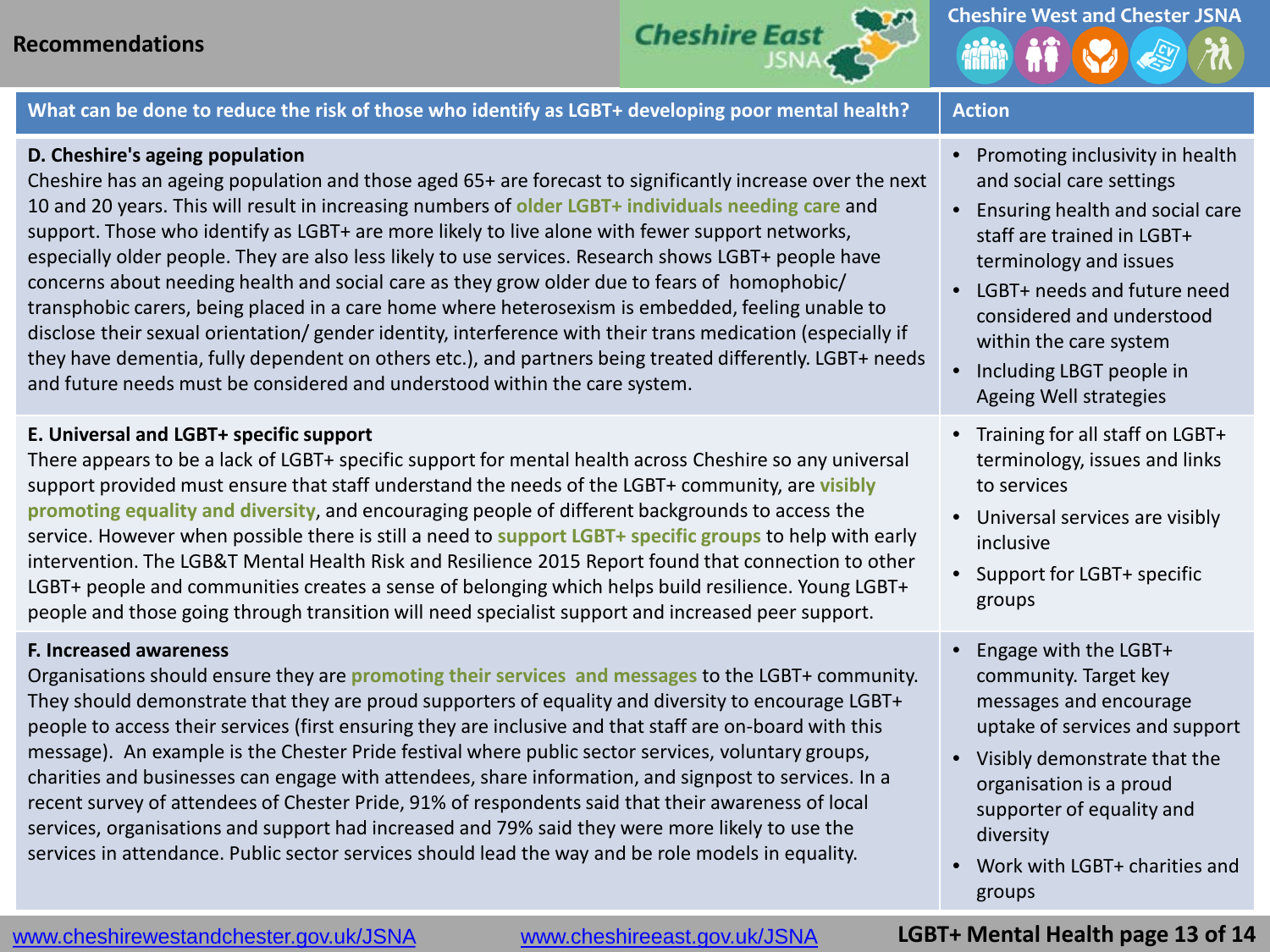



What can be done to reduce the risk of those who identify as LGBT+ developing poor mental health? | Action

#### **D. Cheshire's ageing population**

Cheshire has an ageing population and those aged 65+ are forecast to significantly increase over the next 10 and 20 years. This will result in increasing numbers of **older LGBT+ individuals needing care** and support. Those who identify as LGBT+ are more likely to live alone with fewer support networks, especially older people. They are also less likely to use services. Research shows LGBT+ people have concerns about needing health and social care as they grow older due to fears of homophobic/ transphobic carers, being placed in a care home where heterosexism is embedded, feeling unable to disclose their sexual orientation/ gender identity, interference with their trans medication (especially if they have dementia, fully dependent on others etc.), and partners being treated differently. LGBT+ needs and future needs must be considered and understood within the care system.

#### **E. Universal and LGBT+ specific support**

There appears to be a lack of LGBT+ specific support for mental health across Cheshire so any universal support provided must ensure that staff understand the needs of the LGBT+ community, are **visibly promoting equality and diversity**, and encouraging people of different backgrounds to access the service. However when possible there is still a need to **support LGBT+ specific groups** to help with early intervention. The LGB&T Mental Health Risk and Resilience 2015 Report found that connection to other LGBT+ people and communities creates a sense of belonging which helps build resilience. Young LGBT+ people and those going through transition will need specialist support and increased peer support.

#### **F. Increased awareness**

Organisations should ensure they are **promoting their services and messages** to the LGBT+ community. They should demonstrate that they are proud supporters of equality and diversity to encourage LGBT+ people to access their services (first ensuring they are inclusive and that staff are on-board with this message). An example is the Chester Pride festival where public sector services, voluntary groups, charities and businesses can engage with attendees, share information, and signpost to services. In a recent survey of attendees of Chester Pride, 91% of respondents said that their awareness of local services, organisations and support had increased and 79% said they were more likely to use the services in attendance. Public sector services should lead the way and be role models in equality.

- Promoting inclusivity in health and social care settings
- Ensuring health and social care staff are trained in LGBT+ terminology and issues
- LGBT+ needs and future need considered and understood within the care system
- Including LBGT people in Ageing Well strategies
- Training for all staff on LGBT+ terminology, issues and links to services
- Universal services are visibly inclusive
- Support for LGBT+ specific groups
- Engage with the LGBT+ community. Target key messages and encourage uptake of services and support
- Visibly demonstrate that the organisation is a proud supporter of equality and diversity
- Work with LGBT+ charities and groups

### www.cheshirewestandchester.gov.uk/JSNA [www.cheshireeast.gov.uk/JSNA](http://www.cheshireeast.gov.uk/JSNA)

### **LGBT+ Mental Health page 13 of 14**